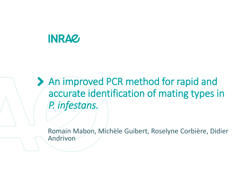# **INRAZ**

An improved PCR method for rapid and accurate identification of mating types in *P. infestans.* 

Romain Mabon, Michèle Guibert, Roselyne Corbière, Didier Andrivon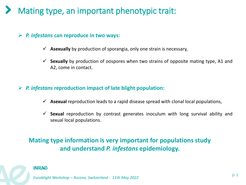## Mating type, an important phenotypic trait:

### ➢ *P. infestans* **can reproduce in two ways:**

- $\checkmark$  **Asexually** by production of sporangia, only one strain is necessary,
- ✓ **Sexually** by production of oospores when two strains of opposite mating type, A1 and A2, come in contact.

#### ➢ *P. infestans* **reproduction impact of late blight population:**

- ✓ **Asexual** reproduction leads to a rapid disease spread with clonal local populations,
- $\checkmark$  **Sexual** reproduction by contrast generates inoculum with long survival ability and sexual local populations.

### **Mating type information is very important for populations study and understand** *P. infestans* **epidemiology.**



Titre de la présentation p. 2 Date / information / nom de l'auteur *Euroblight Workshop – Ascona, Switzerland - 11th May 2022*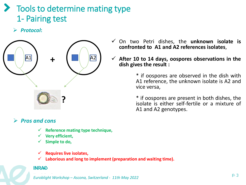## Tools to determine mating type 1- Pairing test

➢ *Protocol***:** 



### ➢ *Pros and cons*

- ✓ **Reference mating type technique,**
- **Very efficient,**
- Simple to do,
- ✓ **Requires live isolates,**
- $\checkmark$  Laborious and long to implement (preparation and waiting time).

#### **INRAQ**

Titre de la présentation p. 3 Date / information / nom de l'auteur *Euroblight Workshop – Ascona, Switzerland - 11th May 2022*

- ✓ On two Petri dishes, the **unknown isolate is confronted to A1 and A2 references isolates**,
- ✓ **After 10 to 14 days, oospores observations in the dish gives the result :**

\* if oospores are observed in the dish with A1 reference, the unknown isolate is A2 and vice versa,

\* if oospores are present in both dishes, the isolate is either self-fertile or a mixture of A1 and A2 genotypes.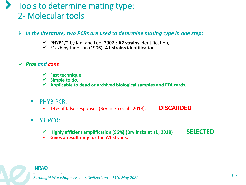## Tools to determine mating type: 2- Molecular tools

➢ *In the literature, two PCRs are used to determine mating type in one step:*

- ✓ PHYB1/2 by Kim and Lee (2002): **A2 strains** identification,
- ✓ S1a/b by Judelson (1996): **A1 strains** identification.
- ➢ *Pros and cons*
	- ✓ **Fast technique,**
	- ✓ **Simple to do,**
	- ✓ **Applicable to dead or archived biological samples and FTA cards.**
	- **E** PHYB PCR:
		- ✓ 14% of false responses (Brylinska et al., 2018). **DISCARDED**
	- *S1 PCR:* 
		- ✓ **Highly efficient amplification (96%) (Brylinska et al., 2018) SELECTED**
		- ✓ **Gives a result only for the A1 strains.**



Titre de la présentation p. 4 Date / information / nom de l'auteur *Euroblight Workshop – Ascona, Switzerland - 11th May 2022*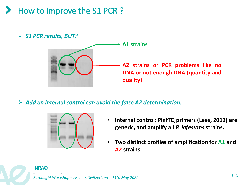How to improve the S1 PCR?





➢ *Add an internal control can avoid the false A2 determination:*



- **Internal control: PinfTQ primers (Lees, 2012) are generic, and amplify all** *P. infestans* **strains.**
- **Two distinct profiles of amplification for A1 and A2 strains.**

#### **INRAZ**

Titre de la présentation p. 5 Date / information / nom de l'auteur *Euroblight Workshop – Ascona, Switzerland - 11th May 2022*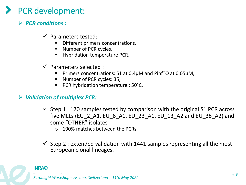## PCR development:

- ➢ *PCR conditions :*
	- $\checkmark$  Parameters tested:
		- Different primers concentrations,
		- Number of PCR cycles,
		- Hybridation temperature PCR.
	- $\checkmark$  Parameters selected :
		- Primers concentrations:  $S1$  at 0.4 $\mu$ M and PinfTQ at 0.05 $\mu$ M,
		- Number of PCR cycles: 35,
		- PCR hybridation temperature : 50°C.

### ➢ *Validation of multiplex PCR:*

- $\checkmark$  Step 1 : 170 samples tested by comparison with the original S1 PCR across five MLLs (EU\_2\_A1, EU\_6\_A1, EU\_23\_A1, EU\_13\_A2 and EU\_38\_A2) and some "OTHER" isolates :
	- o 100% matches between the PCRs.
- $\checkmark$  Step 2 : extended validation with 1441 samples representing all the most European clonal lineages.



Titre de la présentation p. 6 Date / information / nom de l'auteur *Euroblight Workshop – Ascona, Switzerland - 11th May 2022*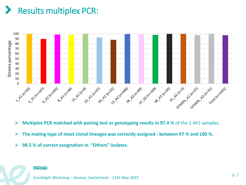# Results multiplex PCR:



- ➢ **Multiplex PCR matched with pairing test or genotyping results in 97.4 %** of the 1 441 samples.
- ➢ **The mating type of most clonal lineages was correctly assigned - between 97 % and 100 %.**
- ➢ **98.5 % of correct assignation in "Others" isolates.**

#### **INRAG**

Titre de la présentation p. 7 Date / information / nom de l'auteur *Euroblight Workshop – Ascona, Switzerland - 11th May 2022*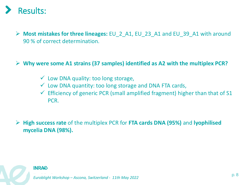

➢ **Most mistakes for three lineages:** EU\_2\_A1, EU\_23\_A1 and EU\_39\_A1 with around 90 % of correct determination.

➢ **Why were some A1 strains (37 samples) identified as A2 with the multiplex PCR?**

- $\checkmark$  Low DNA quality: too long storage,
- $\checkmark$  Low DNA quantity: too long storage and DNA FTA cards,
- $\checkmark$  Efficiency of generic PCR (small amplified fragment) higher than that of S1 PCR.

➢ **High success rate** of the multiplex PCR for **FTA cards DNA (95%)** and **lyophilised mycelia DNA (98%).**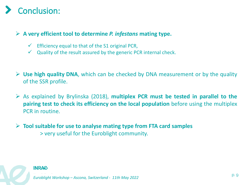# **Conclusion:**

### ➢ **A very efficient tool to determine** *P. infestans* **mating type.**

- $\checkmark$  Efficiency equal to that of the S1 original PCR,
- $\checkmark$  Quality of the result assured by the generic PCR internal check.
- ➢ **Use high quality DNA**, which can be checked by DNA measurement or by the quality of the SSR profile.
- ➢ As explained by Brylinska (2018), **multiplex PCR must be tested in parallel to the pairing test to check its efficiency on the local population** before using the multiplex PCR in routine.
- ➢ **Tool suitable for use to analyse mating type from FTA card samples** > very useful for the Euroblight community.



Titre de la présentation p. 9 Date / information / nom de l'auteur *Euroblight Workshop – Ascona, Switzerland - 11th May 2022*